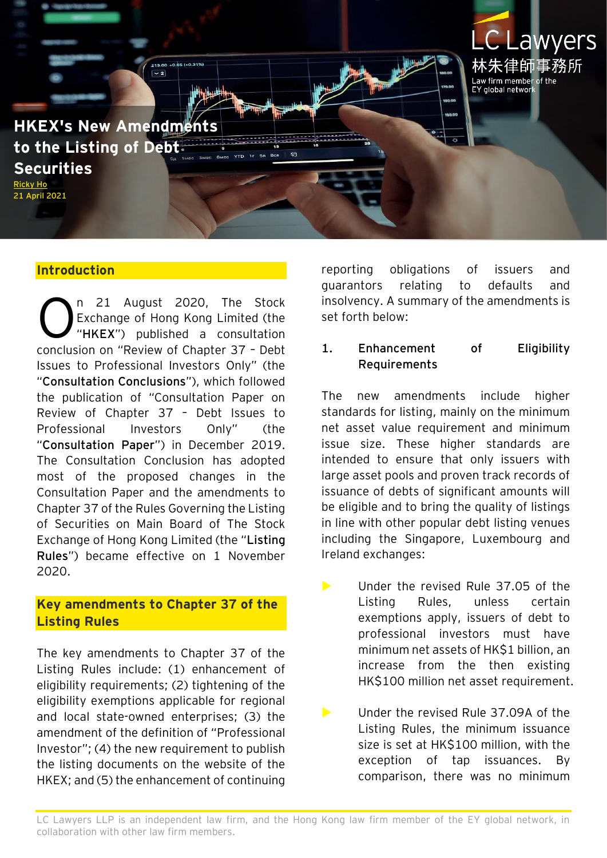

#### **Introduction**

n 21 August 2020, The Stock Exchange of Hong Kong Limited (the "**HKEX**") published a consultation conclusion on "Review of Chapter 37 – Debt Issues to Professional Investors Only" (the "**Consultation Conclusions**"), which followed the publication of "Consultation Paper on Review of Chapter 37 – Debt Issues to Professional Investors Only" (the "**Consultation Paper**") in December 2019. The Consultation Conclusion has adopted most of the proposed changes in the Consultation Paper and the amendments to Chapter 37 of the Rules Governing the Listing of Securities on Main Board of The Stock Exchange of Hong Kong Limited (the "**Listing Rules**") became effective on 1 November 2020. O

#### **Key amendments to Chapter 37 of the Listing Rules**

The key amendments to Chapter 37 of the Listing Rules include: (1) enhancement of eligibility requirements; (2) tightening of the eligibility exemptions applicable for regional and local state-owned enterprises; (3) the amendment of the definition of "Professional Investor"; (4) the new requirement to publish the listing documents on the website of the HKEX; and (5) the enhancement of continuing

reporting obligations of issuers and guarantors relating to defaults and insolvency. A summary of the amendments is set forth below:

#### **1. Enhancement of Eligibility Requirements**

The new amendments include higher standards for listing, mainly on the minimum net asset value requirement and minimum issue size. These higher standards are intended to ensure that only issuers with large asset pools and proven track records of issuance of debts of significant amounts will be eligible and to bring the quality of listings in line with other popular debt listing venues including the Singapore, Luxembourg and Ireland exchanges:

- **Let Under the revised Rule 37.05 of the** Listing Rules, unless certain exemptions apply, issuers of debt to professional investors must have minimum net assets of HK\$1 billion, an increase from the then existing HK\$100 million net asset requirement.
- **Let Under the revised Rule 37.09A of the** Listing Rules, the minimum issuance size is set at HK\$100 million, with the exception of tap issuances. By comparison, there was no minimum

LC Lawyers LLP is an independent law firm, and the Hong Kong law firm member of the EY global network, in collaboration with other law firm members.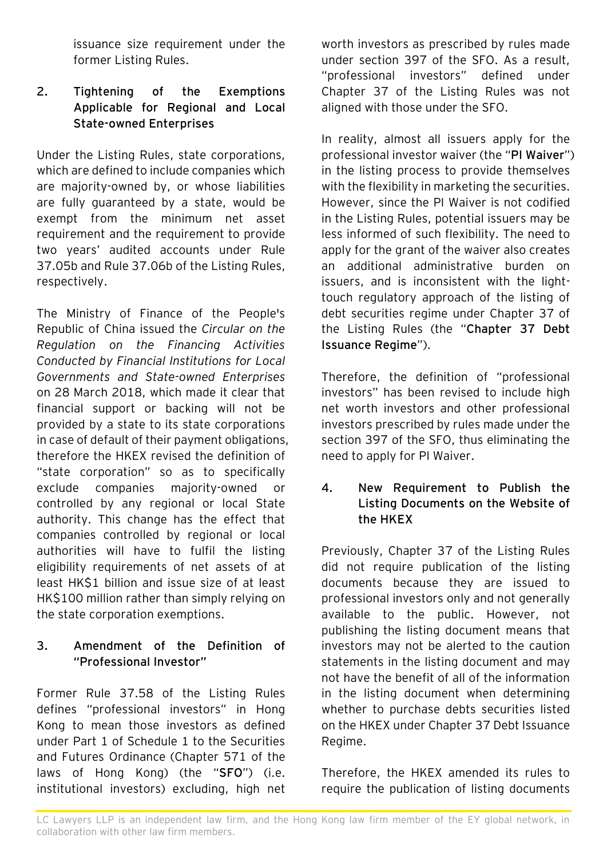issuance size requirement under the former Listing Rules.

# **2. Tightening of the Exemptions Applicable for Regional and Local State-owned Enterprises**

Under the Listing Rules, state corporations, which are defined to include companies which are majority-owned by, or whose liabilities are fully guaranteed by a state, would be exempt from the minimum net asset requirement and the requirement to provide two years' audited accounts under Rule 37.05b and Rule 37.06b of the Listing Rules, respectively.

The Ministry of Finance of the People's Republic of China issued the *Circular on the Regulation on the Financing Activities Conducted by Financial Institutions for Local Governments and State-owned Enterprises* on 28 March 2018, which made it clear that financial support or backing will not be provided by a state to its state corporations in case of default of their payment obligations, therefore the HKEX revised the definition of "state corporation" so as to specifically exclude companies majority-owned or controlled by any regional or local State authority. This change has the effect that companies controlled by regional or local authorities will have to fulfil the listing eligibility requirements of net assets of at least HK\$1 billion and issue size of at least HK\$100 million rather than simply relying on the state corporation exemptions.

# **3. Amendment of the Definition of "Professional Investor"**

Former Rule 37.58 of the Listing Rules defines "professional investors" in Hong Kong to mean those investors as defined under Part 1 of Schedule 1 to the Securities and Futures Ordinance (Chapter 571 of the laws of Hong Kong) (the "**SFO**") (i.e. institutional investors) excluding, high net worth investors as prescribed by rules made under section 397 of the SFO. As a result, "professional investors" defined under Chapter 37 of the Listing Rules was not aligned with those under the SFO.

In reality, almost all issuers apply for the professional investor waiver (the "**PI Waiver**") in the listing process to provide themselves with the flexibility in marketing the securities. However, since the PI Waiver is not codified in the Listing Rules, potential issuers may be less informed of such flexibility. The need to apply for the grant of the waiver also creates an additional administrative burden on issuers, and is inconsistent with the lighttouch regulatory approach of the listing of debt securities regime under Chapter 37 of the Listing Rules (the "**Chapter 37 Debt Issuance Regime**").

Therefore, the definition of "professional investors" has been revised to include high net worth investors and other professional investors prescribed by rules made under the section 397 of the SFO, thus eliminating the need to apply for PI Waiver.

#### **4. New Requirement to Publish the Listing Documents on the Website of the HKEX**

Previously, Chapter 37 of the Listing Rules did not require publication of the listing documents because they are issued to professional investors only and not generally available to the public. However, not publishing the listing document means that investors may not be alerted to the caution statements in the listing document and may not have the benefit of all of the information in the listing document when determining whether to purchase debts securities listed on the HKEX under Chapter 37 Debt Issuance Regime.

Therefore, the HKEX amended its rules to require the publication of listing documents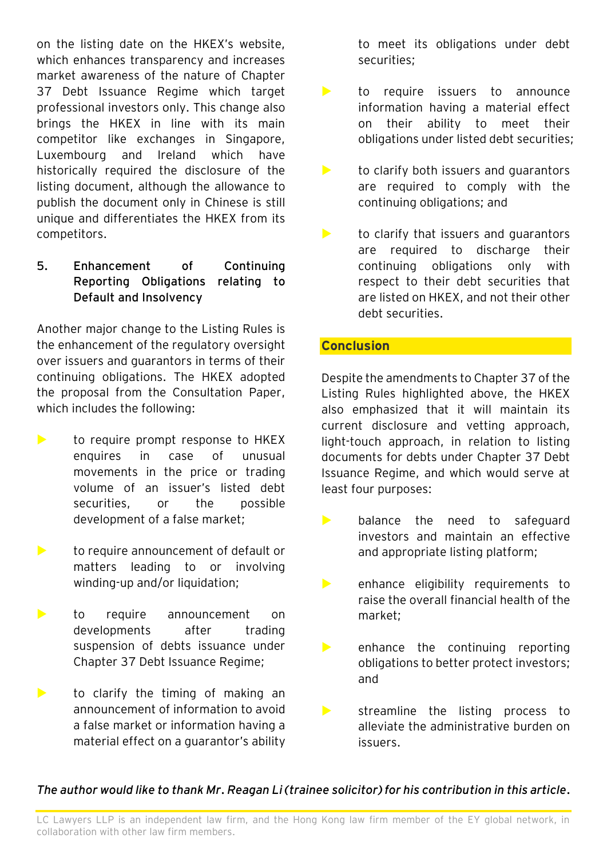on the listing date on the HKEX's website, which enhances transparency and increases market awareness of the nature of Chapter 37 Debt Issuance Regime which target professional investors only. This change also brings the HKEX in line with its main competitor like exchanges in Singapore, Luxembourg and Ireland which have historically required the disclosure of the listing document, although the allowance to publish the document only in Chinese is still unique and differentiates the HKEX from its competitors.

#### **5. Enhancement of Continuing Reporting Obligations relating to Default and Insolvency**

Another major change to the Listing Rules is the enhancement of the regulatory oversight over issuers and guarantors in terms of their continuing obligations. The HKEX adopted the proposal from the Consultation Paper, which includes the following:

- $\blacktriangleright$  to require prompt response to HKEX enquires in case of unusual movements in the price or trading volume of an issuer's listed debt securities, or the possible development of a false market;
- **to require announcement of default or** matters leading to or involving winding-up and/or liquidation;
- **to** require announcement on developments after trading suspension of debts issuance under Chapter 37 Debt Issuance Regime;
- $\blacktriangleright$  to clarify the timing of making an announcement of information to avoid a false market or information having a material effect on a guarantor's ability

to meet its obligations under debt securities;

- to require issuers to announce information having a material effect on their ability to meet their obligations under listed debt securities;
- $\blacktriangleright$  to clarify both issuers and quarantors are required to comply with the continuing obligations; and
- $\blacktriangleright$  to clarify that issuers and quarantors are required to discharge their continuing obligations only with respect to their debt securities that are listed on HKEX, and not their other debt securities.

## **Conclusion**

Despite the amendments to Chapter 37 of the Listing Rules highlighted above, the HKEX also emphasized that it will maintain its current disclosure and vetting approach, light-touch approach, in relation to listing documents for debts under Chapter 37 Debt Issuance Regime, and which would serve at least four purposes:

- **balance the need to safeguard** investors and maintain an effective and appropriate listing platform;
- **EXECUTE:** enhance eligibility requirements to raise the overall financial health of the market;
- $\blacktriangleright$  enhance the continuing reporting obligations to better protect investors; and
- streamline the listing process to alleviate the administrative burden on issuers.

## *The author would like to thank Mr. Reagan Li (trainee solicitor) for his contribution in this article.*